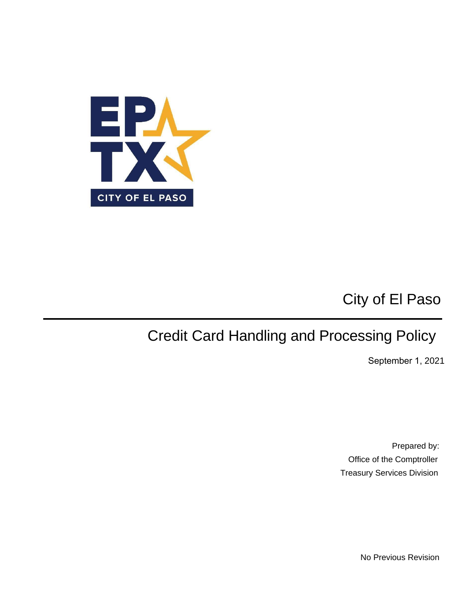

# City of El Paso

# Credit Card Handling and Processing Policy

September 1, 2021

Prepared by: Office of the Comptroller Treasury Services Division

No Previous Revision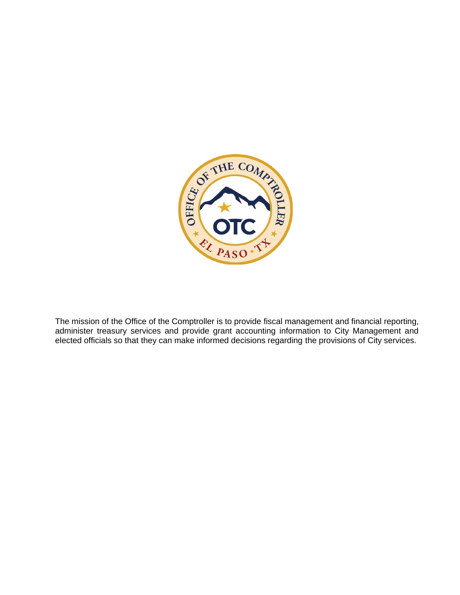

The mission of the Office of the Comptroller is to provide fiscal management and financial reporting, administer treasury services and provide grant accounting information to City Management and elected officials so that they can make informed decisions regarding the provisions of City services.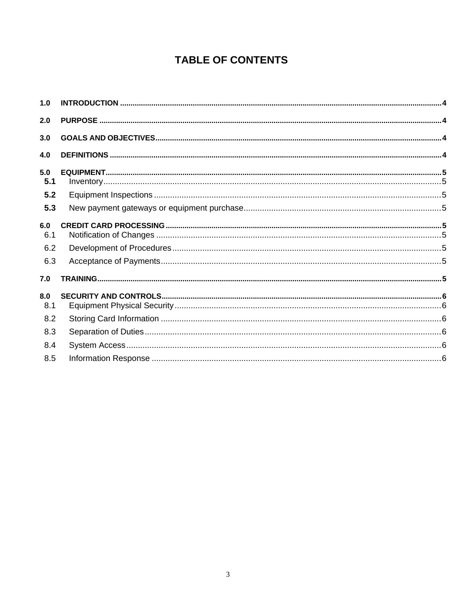### **TABLE OF CONTENTS**

| 1.0                      |  |
|--------------------------|--|
| 2.0                      |  |
| 3.0                      |  |
| 4.0                      |  |
| 5.0<br>5.1               |  |
| 5.2                      |  |
| 5.3                      |  |
| 6.0<br>6.1<br>6.2<br>6.3 |  |
| 7.0                      |  |
| 8.0<br>8.1               |  |
| 8.2                      |  |
| 8.3                      |  |
| 8.4                      |  |
| 8.5                      |  |
|                          |  |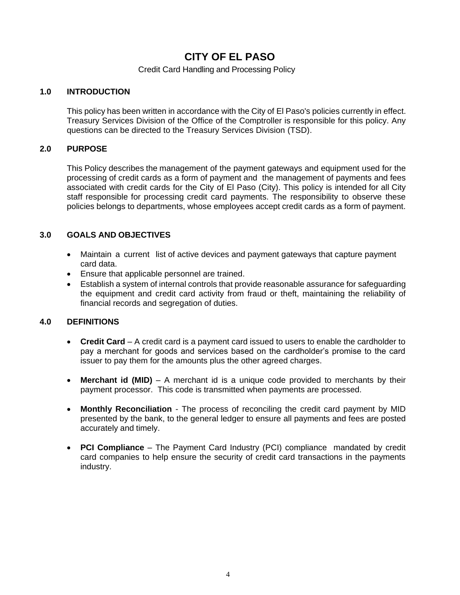### **CITY OF EL PASO**

#### Credit Card Handling and Processing Policy

#### <span id="page-3-0"></span>**1.0 INTRODUCTION**

This policy has been written in accordance with the City of El Paso's policies currently in effect. Treasury Services Division of the Office of the Comptroller is responsible for this policy. Any questions can be directed to the Treasury Services Division (TSD).

#### <span id="page-3-1"></span>**2.0 PURPOSE**

This Policy describes the management of the payment gateways and equipment used for the processing of credit cards as a form of payment and the management of payments and fees associated with credit cards for the City of El Paso (City). This policy is intended for all City staff responsible for processing credit card payments. The responsibility to observe these policies belongs to departments, whose employees accept credit cards as a form of payment.

#### <span id="page-3-2"></span>**3.0 GOALS AND OBJECTIVES**

- Maintain a current list of active devices and payment gateways that capture payment card data.
- Ensure that applicable personnel are trained.
- Establish a system of internal controls that provide reasonable assurance for safeguarding the equipment and credit card activity from fraud or theft, maintaining the reliability of financial records and segregation of duties.

#### <span id="page-3-3"></span>**4.0 DEFINITIONS**

- **Credit Card** A credit card is a payment card issued to users to enable the cardholder to pay a merchant for goods and services based on the cardholder's promise to the card issuer to pay them for the amounts plus the other agreed charges.
- **Merchant id (MID)** A merchant id is a unique code provided to merchants by their payment processor. This code is transmitted when payments are processed.
- **Monthly Reconciliation**  The process of reconciling the credit card payment by MID presented by the bank, to the general ledger to ensure all payments and fees are posted accurately and timely.
- **PCI Compliance** The Payment Card Industry (PCI) compliance mandated by credit card companies to help ensure the security of credit card transactions in the payments industry.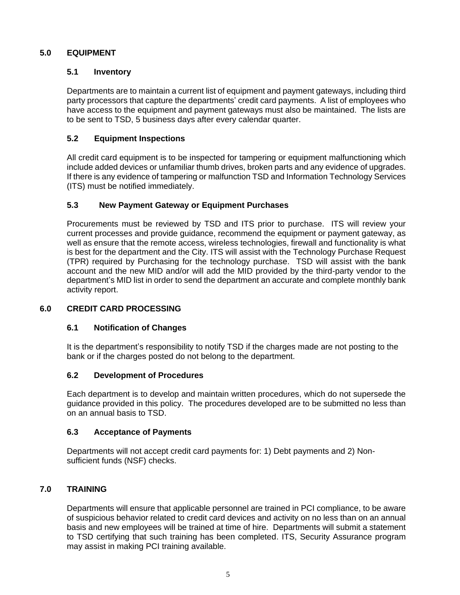#### <span id="page-4-1"></span>**5.0 EQUIPMENT**

#### <span id="page-4-0"></span>**5.1 Inventory**

Departments are to maintain a current list of equipment and payment gateways, including third party processors that capture the departments' credit card payments. A list of employees who have access to the equipment and payment gateways must also be maintained. The lists are to be sent to TSD, 5 business days after every calendar quarter.

#### <span id="page-4-2"></span>**5.2 Equipment Inspections**

All credit card equipment is to be inspected for tampering or equipment malfunctioning which include added devices or unfamiliar thumb drives, broken parts and any evidence of upgrades. If there is any evidence of tampering or malfunction TSD and Information Technology Services (ITS) must be notified immediately.

#### <span id="page-4-3"></span>**5.3 New Payment Gateway or Equipment Purchases**

Procurements must be reviewed by TSD and ITS prior to purchase. ITS will review your current processes and provide guidance, recommend the equipment or payment gateway, as well as ensure that the remote access, wireless technologies, firewall and functionality is what is best for the department and the City. ITS will assist with the Technology Purchase Request (TPR) required by Purchasing for the technology purchase. TSD will assist with the bank account and the new MID and/or will add the MID provided by the third-party vendor to the department's MID list in order to send the department an accurate and complete monthly bank activity report.

#### <span id="page-4-5"></span>**6.0 CREDIT CARD PROCESSING**

#### <span id="page-4-4"></span>**6.1 Notification of Changes**

It is the department's responsibility to notify TSD if the charges made are not posting to the bank or if the charges posted do not belong to the department.

#### <span id="page-4-6"></span>**6.2 Development of Procedures**

Each department is to develop and maintain written procedures, which do not supersede the guidance provided in this policy. The procedures developed are to be submitted no less than on an annual basis to TSD.

#### <span id="page-4-7"></span>**6.3 Acceptance of Payments**

Departments will not accept credit card payments for: 1) Debt payments and 2) Nonsufficient funds (NSF) checks.

#### **7.0 TRAINING**

<span id="page-4-8"></span>Departments will ensure that applicable personnel are trained in PCI compliance, to be aware of suspicious behavior related to credit card devices and activity on no less than on an annual basis and new employees will be trained at time of hire. Departments will submit a statement to TSD certifying that such training has been completed. ITS, Security Assurance program may assist in making PCI training available.